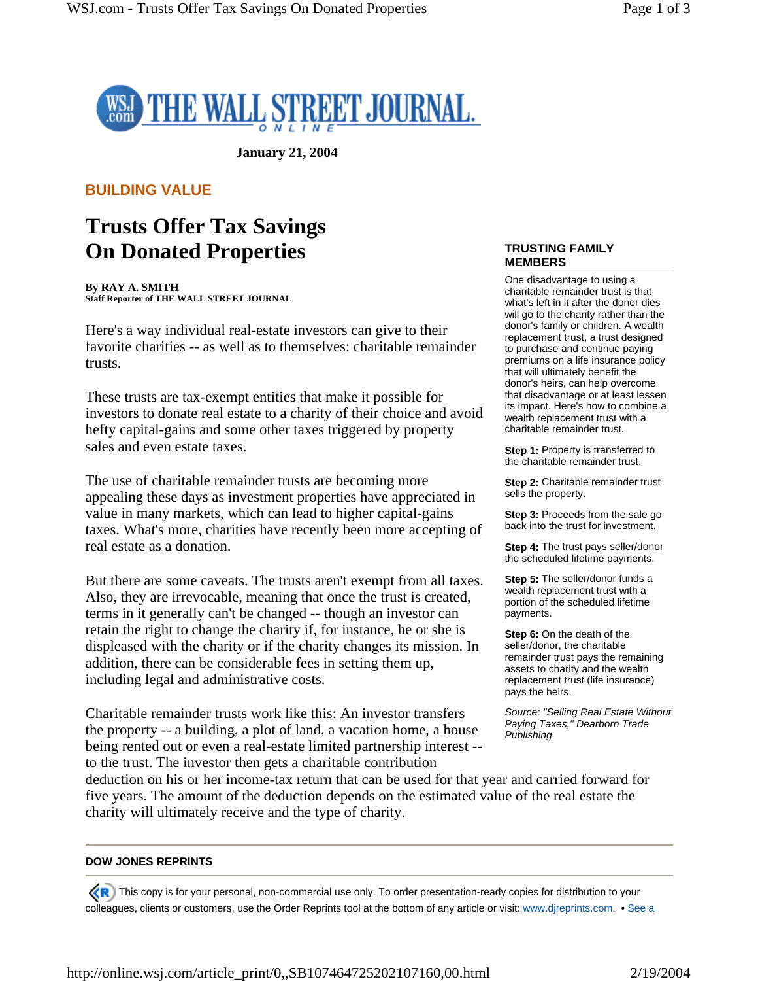

**January 21, 2004** 

## **BUILDING VALUE**

## **Trusts Offer Tax Savings On Donated Properties**

**By RAY A. SMITH Staff Reporter of THE WALL STREET JOURNAL**

Here's a way individual real-estate investors can give to their favorite charities -- as well as to themselves: charitable remainder trusts.

These trusts are tax-exempt entities that make it possible for investors to donate real estate to a charity of their choice and avoid hefty capital-gains and some other taxes triggered by property sales and even estate taxes.

The use of charitable remainder trusts are becoming more appealing these days as investment properties have appreciated in value in many markets, which can lead to higher capital-gains taxes. What's more, charities have recently been more accepting of real estate as a donation.

But there are some caveats. The trusts aren't exempt from all taxes. Also, they are irrevocable, meaning that once the trust is created, terms in it generally can't be changed -- though an investor can retain the right to change the charity if, for instance, he or she is displeased with the charity or if the charity changes its mission. In addition, there can be considerable fees in setting them up, including legal and administrative costs.

Charitable remainder trusts work like this: An investor transfers the property -- a building, a plot of land, a vacation home, a house being rented out or even a real-estate limited partnership interest - to the trust. The investor then gets a charitable contribution

## **TRUSTING FAMILY MEMBERS**

One disadvantage to using a charitable remainder trust is that what's left in it after the donor dies will go to the charity rather than the donor's family or children. A wealth replacement trust, a trust designed to purchase and continue paying premiums on a life insurance policy that will ultimately benefit the donor's heirs, can help overcome that disadvantage or at least lessen its impact. Here's how to combine a wealth replacement trust with a charitable remainder trust.

 **Step 1:** Property is transferred to the charitable remainder trust.

 **Step 2:** Charitable remainder trust sells the property.

 **Step 3:** Proceeds from the sale go back into the trust for investment.

 **Step 4:** The trust pays seller/donor the scheduled lifetime payments.

 **Step 5:** The seller/donor funds a wealth replacement trust with a portion of the scheduled lifetime payments.

 **Step 6:** On the death of the seller/donor, the charitable remainder trust pays the remaining assets to charity and the wealth replacement trust (life insurance) pays the heirs.

 *Source: "Selling Real Estate Without Paying Taxes," Dearborn Trade Publishing*

deduction on his or her income-tax return that can be used for that year and carried forward for five years. The amount of the deduction depends on the estimated value of the real estate the charity will ultimately receive and the type of charity.

## **DOW JONES REPRINTS**

**KR** This copy is for your personal, non-commercial use only. To order presentation-ready copies for distribution to your colleagues, clients or customers, use the Order Reprints tool at the bottom of any article or visit: www.djreprints.com. • See a

http://online.wsj.com/article\_print/0,,SB107464725202107160,00.html 2/19/2004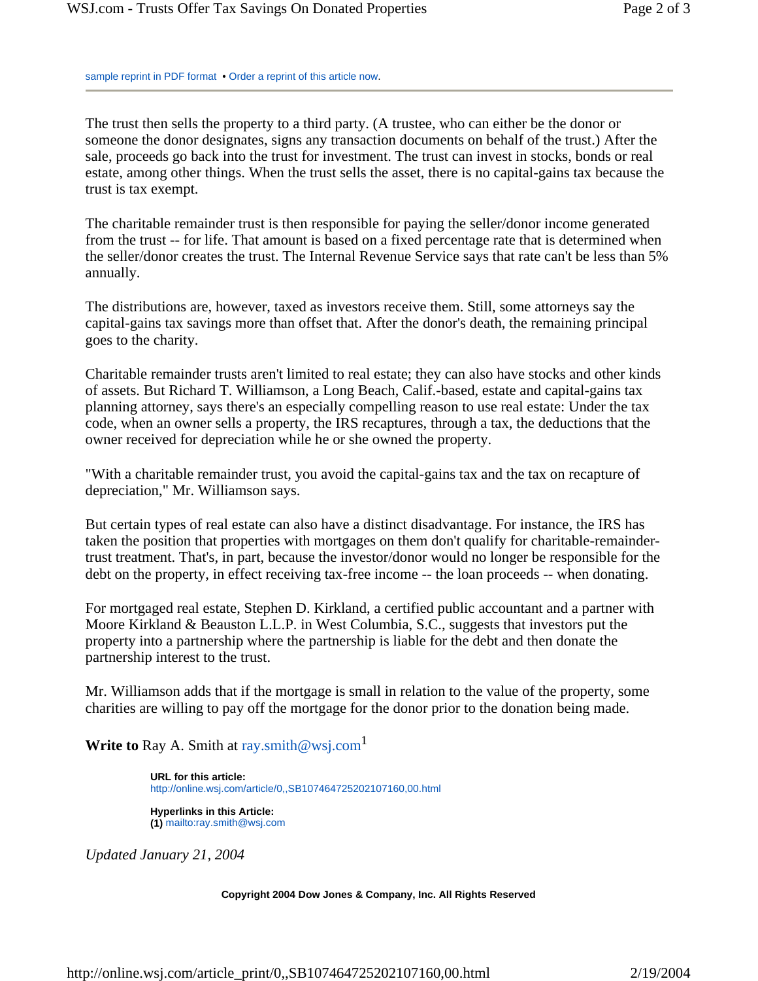sample reprint in PDF format . Order a reprint of this article now.

The trust then sells the property to a third party. (A trustee, who can either be the donor or someone the donor designates, signs any transaction documents on behalf of the trust.) After the sale, proceeds go back into the trust for investment. The trust can invest in stocks, bonds or real estate, among other things. When the trust sells the asset, there is no capital-gains tax because the trust is tax exempt.

The charitable remainder trust is then responsible for paying the seller/donor income generated from the trust -- for life. That amount is based on a fixed percentage rate that is determined when the seller/donor creates the trust. The Internal Revenue Service says that rate can't be less than 5% annually.

The distributions are, however, taxed as investors receive them. Still, some attorneys say the capital-gains tax savings more than offset that. After the donor's death, the remaining principal goes to the charity.

Charitable remainder trusts aren't limited to real estate; they can also have stocks and other kinds of assets. But Richard T. Williamson, a Long Beach, Calif.-based, estate and capital-gains tax planning attorney, says there's an especially compelling reason to use real estate: Under the tax code, when an owner sells a property, the IRS recaptures, through a tax, the deductions that the owner received for depreciation while he or she owned the property.

"With a charitable remainder trust, you avoid the capital-gains tax and the tax on recapture of depreciation," Mr. Williamson says.

But certain types of real estate can also have a distinct disadvantage. For instance, the IRS has taken the position that properties with mortgages on them don't qualify for charitable-remaindertrust treatment. That's, in part, because the investor/donor would no longer be responsible for the debt on the property, in effect receiving tax-free income -- the loan proceeds -- when donating.

For mortgaged real estate, Stephen D. Kirkland, a certified public accountant and a partner with Moore Kirkland & Beauston L.L.P. in West Columbia, S.C., suggests that investors put the property into a partnership where the partnership is liable for the debt and then donate the partnership interest to the trust.

Mr. Williamson adds that if the mortgage is small in relation to the value of the property, some charities are willing to pay off the mortgage for the donor prior to the donation being made.

**Write to** Ray A. Smith at ray.smith@wsj.com<sup>1</sup>

**URL for this article:**  http://online.wsj.com/article/0,,SB107464725202107160,00.html

**Hyperlinks in this Article: (1)** mailto:ray.smith@wsj.com

*Updated January 21, 2004*

**Copyright 2004 Dow Jones & Company, Inc. All Rights Reserved**